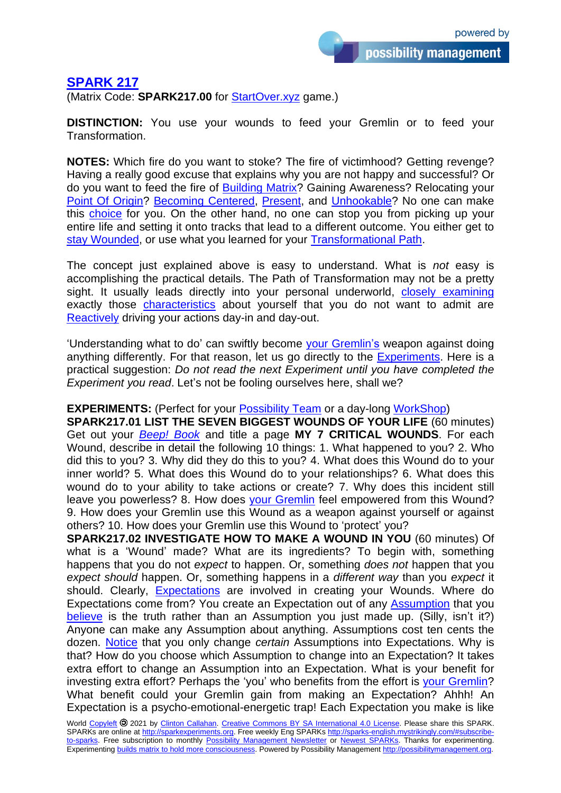possibility management

## **[SPARK 217](http://sparks-english.mystrikingly.com/)**

(Matrix Code: **SPARK217.00** for [StartOver.xyz](http://startoverxyz.mystrikingly.com/) game.)

**DISTINCTION:** You use your wounds to feed your Gremlin or to feed your Transformation.

**NOTES:** Which fire do you want to stoke? The fire of victimhood? Getting revenge? Having a really good excuse that explains why you are not happy and successful? Or do you want to feed the fire of [Building](http://buildmatrix.mystrikingly.com/) Matrix? Gaining Awareness? Relocating your [Point Of Origin?](http://pointoforigin.mystrikingly.com/) [Becoming Centered,](http://becomecentered.mystrikingly.com/) [Present,](http://becomepresent.mystrikingly.com/) and [Unhookable?](http://becomeunhookable.mystrikingly.com/) No one can make this [choice](http://choosing.mystrikingly.com/) for you. On the other hand, no one can stop you from picking up your entire life and setting it onto tracks that lead to a different outcome. You either get to stay [Wounded,](http://lowdrama.mystrikingly.com/) or use what you learned for your [Transformational Path.](http://path.mystrikingly.com/)

The concept just explained above is easy to understand. What is *not* easy is accomplishing the practical details. The Path of Transformation may not be a pretty sight. It usually leads directly into your personal underworld, [closely examining](http://selfobservation.mystrikingly.com/) exactly those [characteristics](http://parts.mystrikingly.com/) about yourself that you do not want to admit are [Reactively](http://reactivity.mystrikingly.com/) driving your actions day-in and day-out.

'Understanding what to do' can swiftly become [your Gremlin's](http://yourgremlin.mystrikingly.com/) weapon against doing anything differently. For that reason, let us go directly to the [Experiments.](http://becomeanexperimenter.mystrikingly.com/) Here is a practical suggestion: *Do not read the next Experiment until you have completed the Experiment you read*. Let's not be fooling ourselves here, shall we?

## **EXPERIMENTS:** (Perfect for your [Possibility Team](http://possibilityteam.mystrikingly.com/) or a day-long [WorkShop\)](http://howtogiveaworkshop.mystrikingly.com/)

**SPARK217.01 LIST THE SEVEN BIGGEST WOUNDS OF YOUR LIFE** (60 minutes) Get out your *[Beep! Book](http://beepbook.mystrikingly.com/)* and title a page **MY 7 CRITICAL WOUNDS**. For each Wound, describe in detail the following 10 things: 1. What happened to you? 2. Who did this to you? 3. Why did they do this to you? 4. What does this Wound do to your inner world? 5. What does this Wound do to your relationships? 6. What does this wound do to your ability to take actions or create? 7. Why does this incident still leave you powerless? 8. How does [your Gremlin](http://yourgremlin.mystrikingly.com/) feel empowered from this Wound? 9. How does your Gremlin use this Wound as a weapon against yourself or against others? 10. How does your Gremlin use this Wound to 'protect' you?

**SPARK217.02 INVESTIGATE HOW TO MAKE A WOUND IN YOU** (60 minutes) Of what is a 'Wound' made? What are its ingredients? To begin with, something happens that you do not *expect* to happen. Or, something *does not* happen that you *expect should* happen. Or, something happens in a *different way* than you *expect* it should. Clearly, [Expectations](http://expectations.mystrikingly.com/) are involved in creating your Wounds. Where do Expectations come from? You create an Expectation out of any [Assumption](http://assumptions.mystrikingly.com/) that you [believe](http://beliefs.mystrikingly.com/) is the truth rather than an Assumption you just made up. (Silly, isn't it?) Anyone can make any Assumption about anything. Assumptions cost ten cents the dozen. [Notice](http://noticing.mystrikingly.com/) that you only change *certain* Assumptions into Expectations. Why is that? How do you choose which Assumption to change into an Expectation? It takes extra effort to change an Assumption into an Expectation. What is your benefit for investing extra effort? Perhaps the 'you' who benefits from the effort is [your Gremlin?](http://yourgremlin.mystrikingly.com/) What benefit could your Gremlin gain from making an Expectation? Ahhh! An Expectation is a psycho-emotional-energetic trap! Each Expectation you make is like